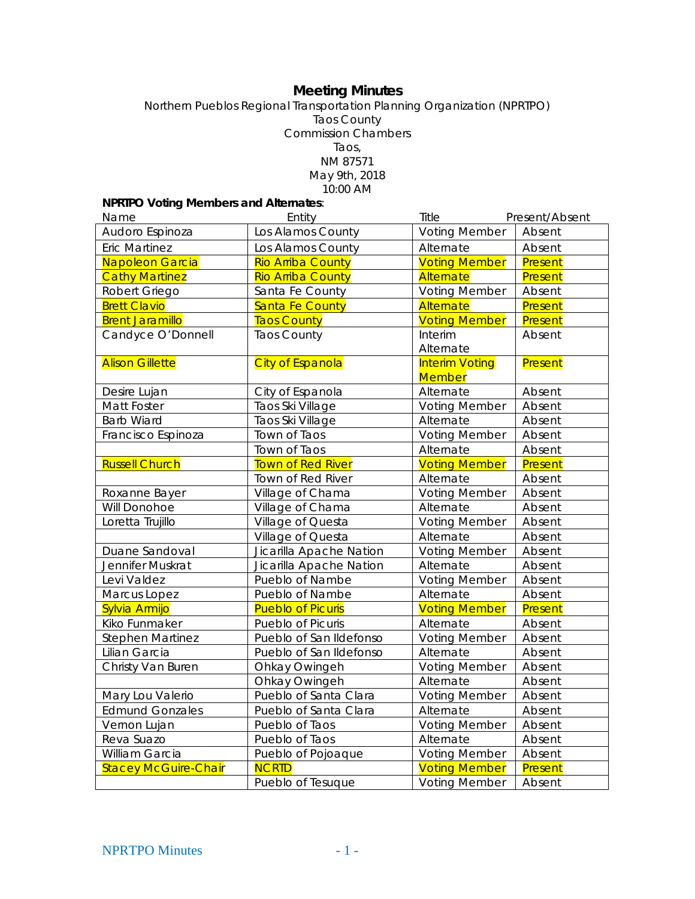# **Meeting Minutes**

Northern Pueblos Regional Transportation Planning Organization (NPRTPO) Taos County Commission Chambers Taos, NM 87571 May 9th, 2018 10:00 AM

**NPRTPO Voting Members and Alternates**:

| Name                        | Entity                   | Title                                  | Present/Absent |
|-----------------------------|--------------------------|----------------------------------------|----------------|
| Audoro Espinoza             | Los Alamos County        | <b>Voting Member</b>                   | Absent         |
| <b>Eric Martinez</b>        | Los Alamos County        | Alternate                              | Absent         |
| Napoleon Garcia             | <b>Rio Arriba County</b> | <b>Voting Member</b>                   | Present        |
| <b>Cathy Martinez</b>       | <b>Rio Arriba County</b> | Alternate                              | Present        |
| Robert Griego               | Santa Fe County          | <b>Voting Member</b>                   | Absent         |
| <b>Brett Clavio</b>         | <b>Santa Fe County</b>   | Alternate                              | Present        |
| <b>Brent Jaramillo</b>      | <b>Taos County</b>       | <b>Voting Member</b>                   | Present        |
| Candyce O'Donnell           | <b>Taos County</b>       | Interim                                | Absent         |
|                             |                          | Alternate                              |                |
| <b>Alison Gillette</b>      | <b>City of Espanola</b>  | <b>Interim Voting</b><br><b>Member</b> | Present        |
| Desire Lujan                | City of Espanola         | Alternate                              | Absent         |
| Matt Foster                 | Taos Ski Village         | <b>Voting Member</b>                   | Absent         |
| <b>Barb Wiard</b>           | Taos Ski Village         | Alternate                              | Absent         |
| Francisco Espinoza          | Town of Taos             | <b>Voting Member</b>                   | Absent         |
|                             | Town of Taos             | Alternate                              | Absent         |
| <b>Russell Church</b>       | Town of Red River        | <b>Voting Member</b>                   | Present        |
|                             | Town of Red River        | Alternate                              | Absent         |
| Roxanne Bayer               | Village of Chama         | <b>Voting Member</b>                   | Absent         |
| Will Donohoe                | Village of Chama         | Alternate                              | Absent         |
| Loretta Trujillo            | Village of Questa        | <b>Voting Member</b>                   | Absent         |
|                             | Village of Questa        | Alternate                              | Absent         |
| Duane Sandoval              | Jicarilla Apache Nation  | <b>Voting Member</b>                   | Absent         |
| Jennifer Muskrat            | Jicarilla Apache Nation  | Alternate                              | Absent         |
| Levi Valdez                 | Pueblo of Nambe          | <b>Voting Member</b>                   | Absent         |
| Marcus Lopez                | Pueblo of Nambe          | Alternate                              | Absent         |
| Sylvia Armijo               | <b>Pueblo of Picuris</b> | <b>Voting Member</b>                   | Present        |
| Kiko Funmaker               | Pueblo of Picuris        | Alternate                              | Absent         |
| <b>Stephen Martinez</b>     | Pueblo of San Ildefonso  | <b>Voting Member</b>                   | Absent         |
| Lilian Garcia               | Pueblo of San Ildefonso  | Alternate                              | Absent         |
| Christy Van Buren           | Ohkay Owingeh            | <b>Voting Member</b>                   | Absent         |
|                             | Ohkay Owingeh            | Alternate                              | Absent         |
| Mary Lou Valerio            | Pueblo of Santa Clara    | <b>Voting Member</b>                   | Absent         |
| <b>Edmund Gonzales</b>      | Pueblo of Santa Clara    | Alternate                              | Absent         |
| Vernon Lujan                | Pueblo of Taos           | <b>Voting Member</b>                   | Absent         |
| Reva Suazo                  | Pueblo of Taos           | Alternate                              | Absent         |
| William Garcia              | Pueblo of Pojoaque       | <b>Voting Member</b>                   | Absent         |
| <b>Stacey McGuire-Chair</b> | <b>NCRTD</b>             | <b>Voting Member</b>                   | Present        |
|                             | Pueblo of Tesuque        | <b>Voting Member</b>                   | Absent         |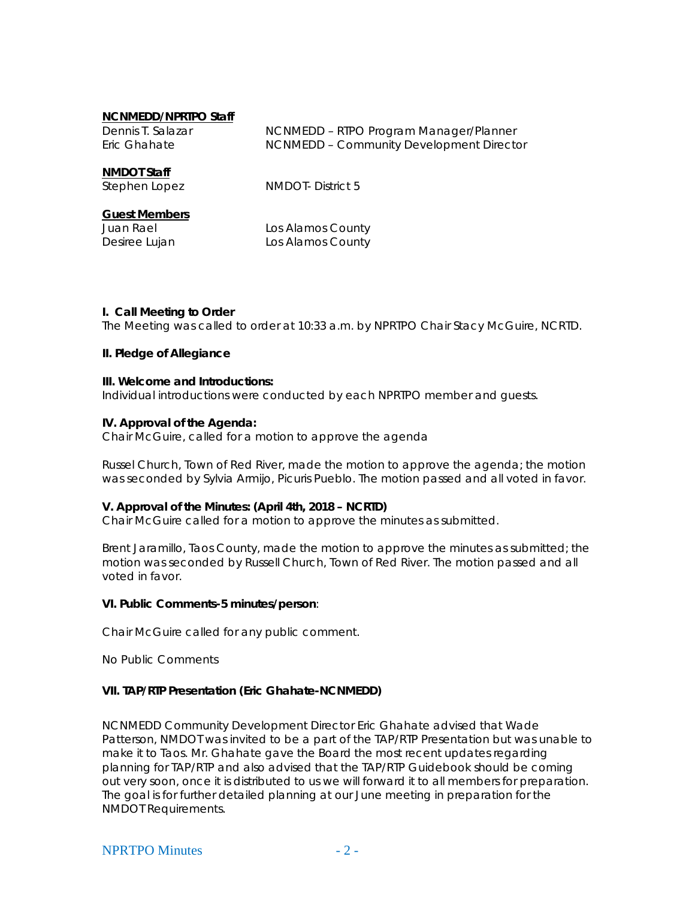#### **NCNMEDD/NPRTPO Staff**

| Dennis T. Salazar | NCNMEDD - RTPO Program Manager/Planner   |
|-------------------|------------------------------------------|
| Eric Ghahate      | NCNMEDD - Community Development Director |

#### **NMDOT Staff**

Stephen Lopez NMDOT- District 5

## **Guest Members**

Juan Rael **Los Alamos County** Desiree Lujan Los Alamos County

### **I. Call Meeting to Order**

The Meeting was called to order at 10:33 a.m. by NPRTPO Chair Stacy McGuire, NCRTD.

### **II. Pledge of Allegiance**

### **III. Welcome and Introductions:**

Individual introductions were conducted by each NPRTPO member and guests.

### **IV. Approval of the Agenda:**

Chair McGuire, called for a motion to approve the agenda

Russel Church, Town of Red River, made the motion to approve the agenda; the motion was seconded by Sylvia Armijo, Picuris Pueblo. The motion passed and all voted in favor.

### **V. Approval of the Minutes: (April 4th, 2018 – NCRTD)**

Chair McGuire called for a motion to approve the minutes as submitted.

Brent Jaramillo, Taos County, made the motion to approve the minutes as submitted; the motion was seconded by Russell Church, Town of Red River. The motion passed and all voted in favor.

### **VI. Public Comments-5 minutes/person**:

Chair McGuire called for any public comment.

No Public Comments

### **VII. TAP/RTP Presentation (Eric Ghahate-NCNMEDD)**

NCNMEDD Community Development Director Eric Ghahate advised that Wade Patterson, NMDOT was invited to be a part of the TAP/RTP Presentation but was unable to make it to Taos. Mr. Ghahate gave the Board the most recent updates regarding planning for TAP/RTP and also advised that the TAP/RTP Guidebook should be coming out very soon, once it is distributed to us we will forward it to all members for preparation. The goal is for further detailed planning at our June meeting in preparation for the NMDOT Requirements.

### $NPRTPO$  Minutes  $-2$  -